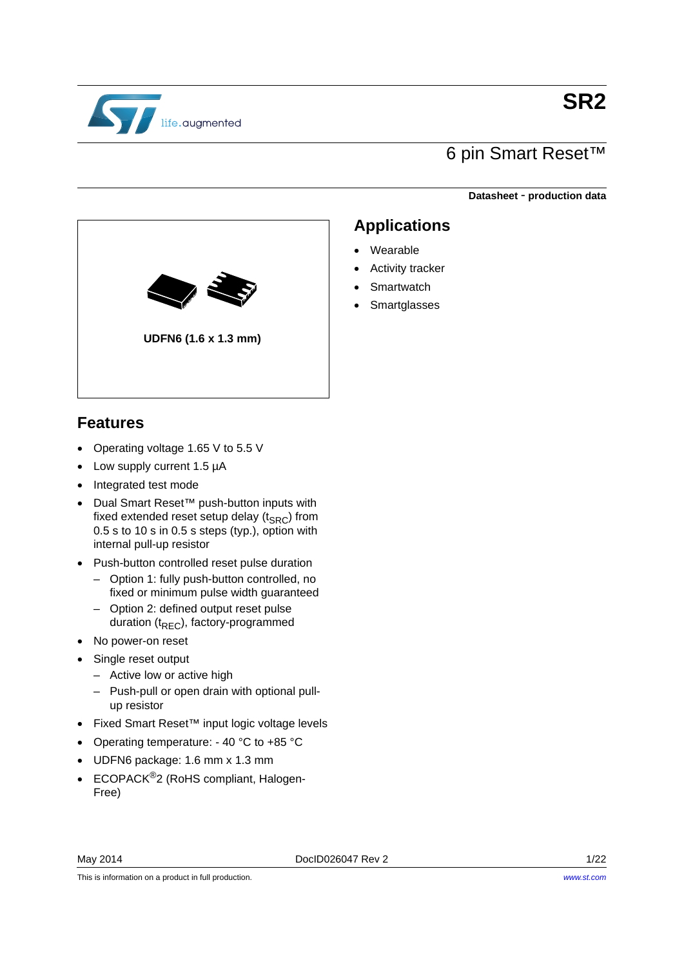

**SR2**

## 6 pin Smart Reset™

**Applications**

 Activity tracker **Smartwatch Smartglasses** 

Wearable

**Datasheet** - **production data**



#### **Features**

- Operating voltage 1.65 V to 5.5 V
- Low supply current 1.5 µA
- Integrated test mode
- Dual Smart Reset™ push-button inputs with fixed extended reset setup delay  $(t_{SRC})$  from 0.5 s to 10 s in 0.5 s steps (typ.), option with internal pull-up resistor
- Push-button controlled reset pulse duration
	- Option 1: fully push-button controlled, no fixed or minimum pulse width guaranteed
	- Option 2: defined output reset pulse duration  $(t_{REC})$ , factory-programmed
- No power-on reset
- Single reset output
	- Active low or active high
	- Push-pull or open drain with optional pullup resistor
- Fixed Smart Reset™ input logic voltage levels
- Operating temperature: 40 °C to +85 °C
- UDFN6 package: 1.6 mm x 1.3 mm
- ECOPACK<sup>®</sup>2 (RoHS compliant, Halogen-Free)

This is information on a product in full production.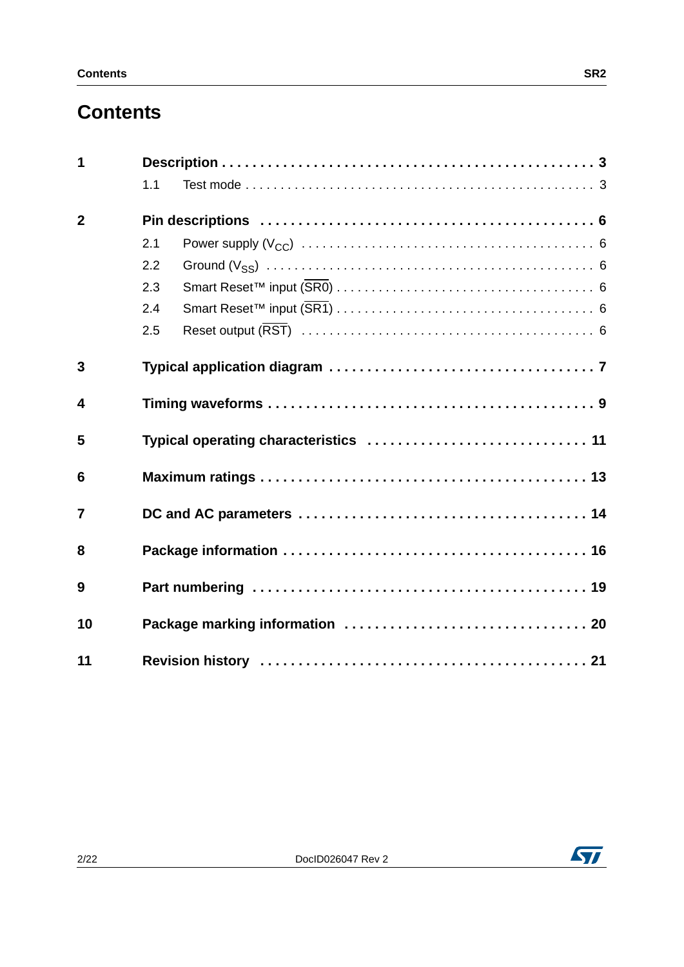# **Contents**

| 1                       |     |                                       |  |  |  |  |
|-------------------------|-----|---------------------------------------|--|--|--|--|
|                         | 1.1 |                                       |  |  |  |  |
| $\overline{2}$          |     |                                       |  |  |  |  |
|                         | 2.1 |                                       |  |  |  |  |
|                         | 2.2 |                                       |  |  |  |  |
|                         | 2.3 |                                       |  |  |  |  |
|                         | 2.4 |                                       |  |  |  |  |
|                         | 2.5 |                                       |  |  |  |  |
| 3                       |     |                                       |  |  |  |  |
| $\overline{\mathbf{4}}$ |     |                                       |  |  |  |  |
| 5                       |     | Typical operating characteristics  11 |  |  |  |  |
| 6                       |     |                                       |  |  |  |  |
| $\overline{7}$          |     |                                       |  |  |  |  |
| 8                       |     |                                       |  |  |  |  |
| 9                       |     |                                       |  |  |  |  |
| 10                      |     |                                       |  |  |  |  |
| 11                      |     |                                       |  |  |  |  |



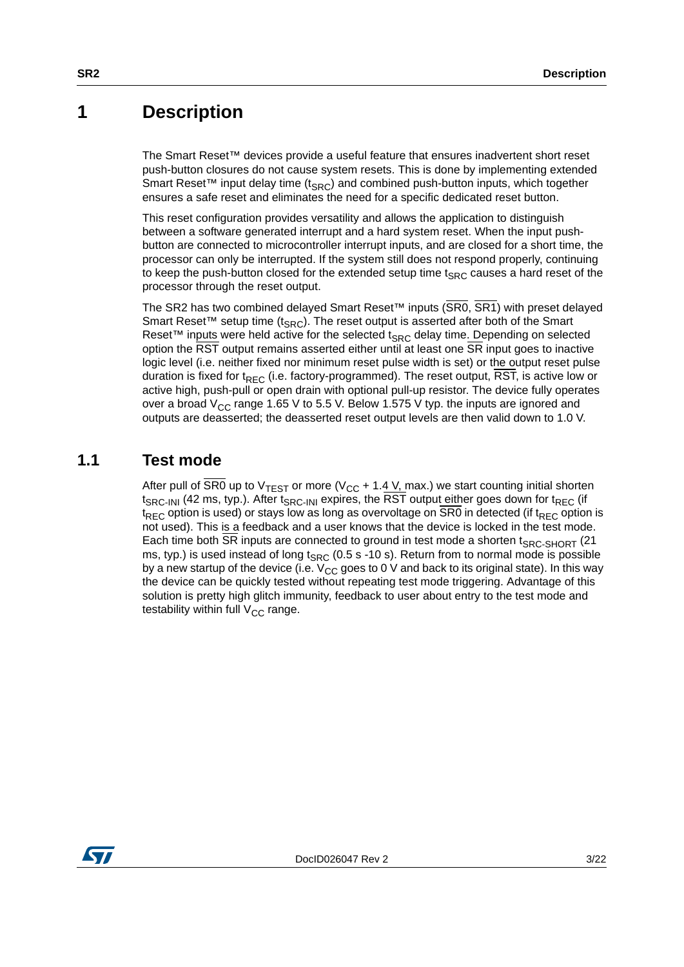### <span id="page-2-0"></span>**1 Description**

The Smart Reset™ devices provide a useful feature that ensures inadvertent short reset push-button closures do not cause system resets. This is done by implementing extended Smart Reset<sup>™</sup> input delay time ( $t_{SRC}$ ) and combined push-button inputs, which together ensures a safe reset and eliminates the need for a specific dedicated reset button.

This reset configuration provides versatility and allows the application to distinguish between a software generated interrupt and a hard system reset. When the input pushbutton are connected to microcontroller interrupt inputs, and are closed for a short time, the processor can only be interrupted. If the system still does not respond properly, continuing to keep the push-button closed for the extended setup time  $t_{SRC}$  causes a hard reset of the processor through the reset output.

The SR2 has two combined delayed Smart Reset™ inputs (SR0, SR1) with preset delayed Smart Reset<sup>™</sup> setup time (t<sub>SRC</sub>). The reset output is asserted after both of the Smart Reset<sup>™</sup> inputs were held active for the selected  $t_{SRC}$  delay time. Depending on selected option the RST output remains asserted either until at least one SR input goes to inactive logic level (i.e. neither fixed nor minimum reset pulse width is set) or the output reset pulse duration is fixed for t<sub>RFC</sub> (i.e. factory-programmed). The reset output, RST, is active low or active high, push-pull or open drain with optional pull-up resistor. The device fully operates over a broad  $V_{CC}$  range 1.65 V to 5.5 V. Below 1.575 V typ. the inputs are ignored and outputs are deasserted; the deasserted reset output levels are then valid down to 1.0 V.

#### <span id="page-2-1"></span>**1.1 Test mode**

After pull of SR0 up to  $\vee_{\tau \in \text{ST}}$  or more (V<sub>CC</sub> + 1.4 V, max.) we start counting initial shorten t<sub>SRC-INI</sub> (42 ms, typ.). After t<sub>SRC-INI</sub> expires, the RST outpu<u>t eith</u>er goes down for t<sub>REC</sub> (if  $t_{REC}$  option is used) or stays low as long as overvoltage on  $\overline{SRO}$  in detected (if  $t_{REC}$  option is not used). This is a feedback and a user knows that the device is locked in the test mode. Each time both  $\overline{\text{SR}}$  inputs are connected to ground in test mode a shorten t<sub>SRC-SHORT</sub> (21) ms, typ.) is used instead of long  $t_{SRC}$  (0.5 s -10 s). Return from to normal mode is possible by a new startup of the device (i.e.  $V_{CC}$  goes to 0 V and back to its original state). In this way the device can be quickly tested without repeating test mode triggering. Advantage of this solution is pretty high glitch immunity, feedback to user about entry to the test mode and testability within full  $V_{CC}$  range.

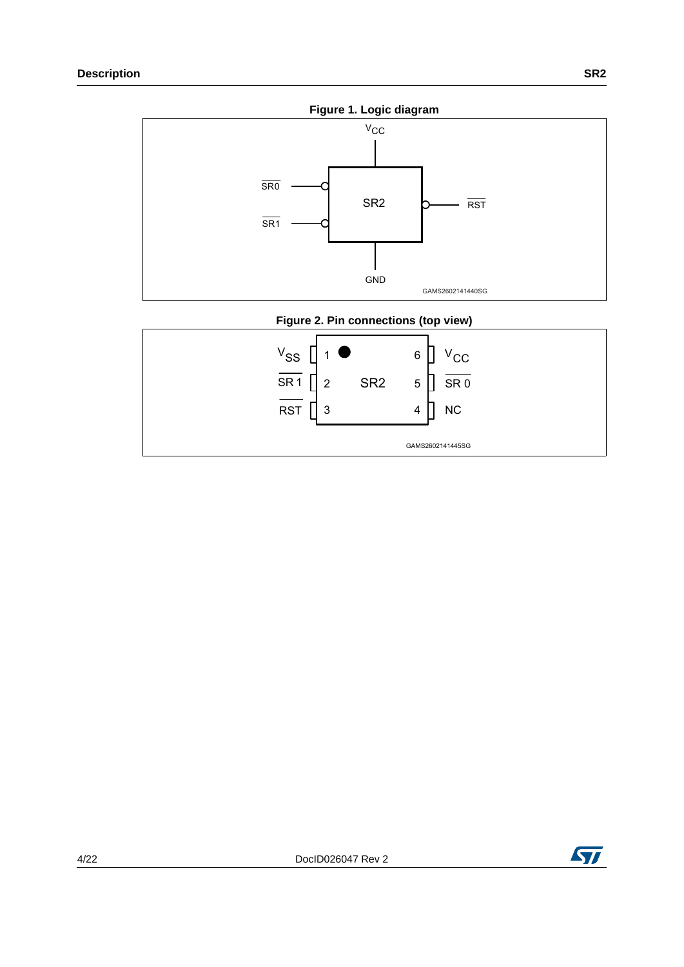

#### **Figure 2. Pin connections (top view)**

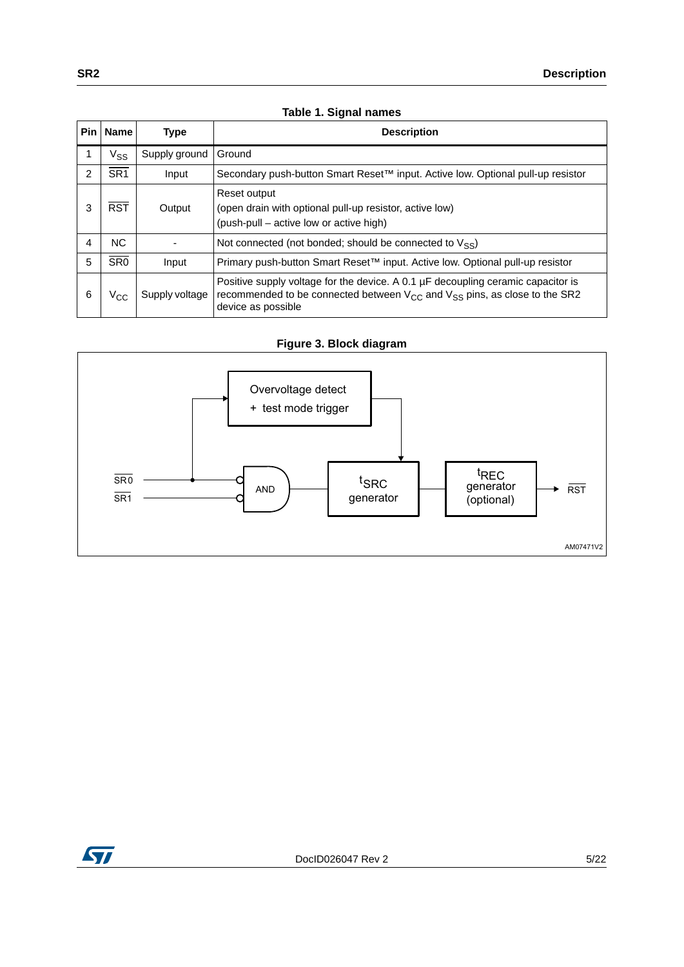|                | rapic i: Orginal hannos |                |                                                                                                                                                                                               |  |  |  |
|----------------|-------------------------|----------------|-----------------------------------------------------------------------------------------------------------------------------------------------------------------------------------------------|--|--|--|
| <b>Pin</b>     | Name                    | <b>Type</b>    | <b>Description</b>                                                                                                                                                                            |  |  |  |
|                | $V_{SS}$                | Supply ground  | Ground                                                                                                                                                                                        |  |  |  |
| $\overline{2}$ | SR <sub>1</sub>         | Input          | Secondary push-button Smart Reset™ input. Active low. Optional pull-up resistor                                                                                                               |  |  |  |
| 3              | <b>RST</b>              | Output         | Reset output<br>(open drain with optional pull-up resistor, active low)<br>(push-pull – active low or active high)                                                                            |  |  |  |
| 4              | NC.                     |                | Not connected (not bonded; should be connected to $V_{SS}$ )                                                                                                                                  |  |  |  |
| 5              | $\overline{\text{SR0}}$ | Input          | Primary push-button Smart Reset <sup>™</sup> input. Active low. Optional pull-up resistor                                                                                                     |  |  |  |
| 6              | $V_{\rm CC}$            | Supply voltage | Positive supply voltage for the device. A 0.1 µF decoupling ceramic capacitor is<br>recommended to be connected between $V_{CC}$ and $V_{SS}$ pins, as close to the SR2<br>device as possible |  |  |  |

#### **Table 1. Signal names**







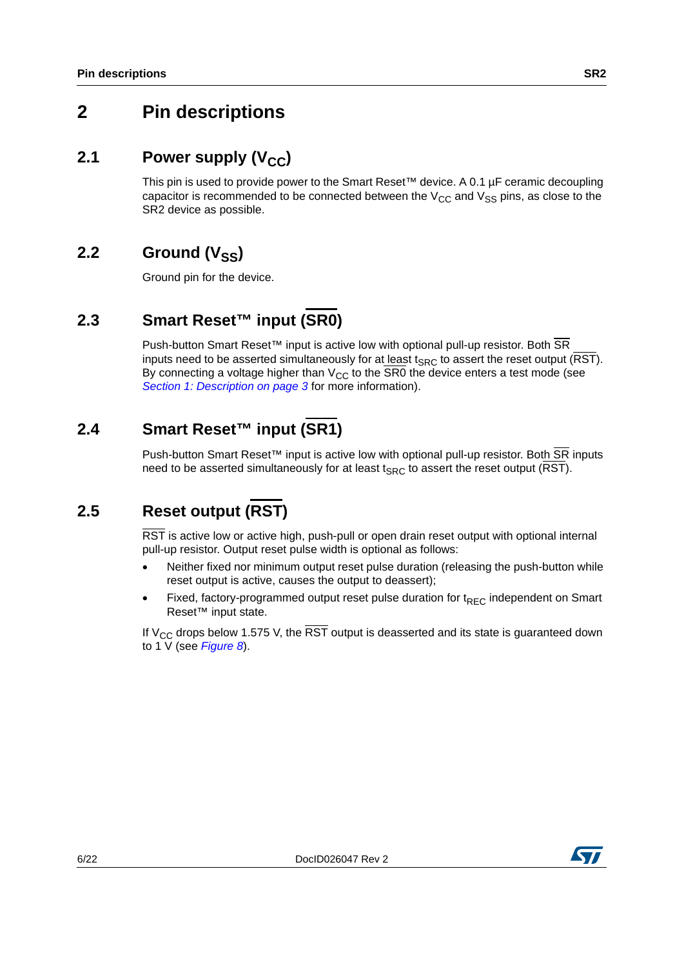## <span id="page-5-0"></span>**2 Pin descriptions**

### <span id="page-5-1"></span>**2.1** Power supply (V<sub>CC</sub>)

This pin is used to provide power to the Smart Reset™ device. A 0.1 µF ceramic decoupling capacitor is recommended to be connected between the  $V_{CC}$  and  $V_{SS}$  pins, as close to the SR2 device as possible.

### <span id="page-5-2"></span>**2.2** Ground (V<sub>SS</sub>)

Ground pin for the device.

## <span id="page-5-3"></span>**2.3 Smart Reset™ input (SR0)**

Push-button Smart Reset™ input is active low with optional pull-up resistor. Both SR inputs need to be asserted simultaneously for at least  $t_{SRC}$  to assert the reset output (RST). By connecting a voltage higher than  $V_{CC}$  to the SR0 the device enters a test mode (see *[Section 1: Description on page 3](#page-2-0)* for more information).

### <span id="page-5-4"></span>**2.4 Smart Reset™ input (SR1)**

Push-button Smart Reset<sup>™</sup> input is active low with optional pull-up resistor. Both SR inputs need to be asserted simultaneously for at least  $t_{SRC}$  to assert the reset output (RST).

## <span id="page-5-5"></span>**2.5 Reset output (RST)**

RST is active low or active high, push-pull or open drain reset output with optional internal pull-up resistor. Output reset pulse width is optional as follows:

- Neither fixed nor minimum output reset pulse duration (releasing the push-button while reset output is active, causes the output to deassert);
- Fixed, factory-programmed output reset pulse duration for  $t_{\text{REC}}$  independent on Smart Reset™ input state.

If  $V_{CC}$  drops below 1.575 V, the  $\overline{RST}$  output is deasserted and its state is guaranteed down to 1 V (see *[Figure 8](#page-9-0)*).

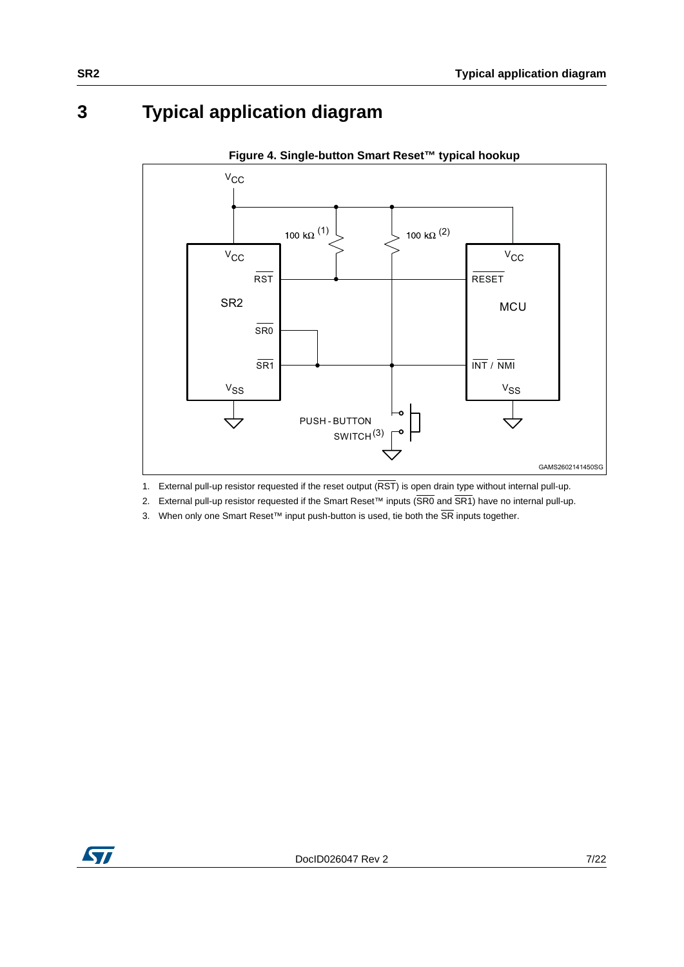## <span id="page-6-0"></span>**3 Typical application diagram**



**Figure 4. Single-button Smart Reset™ typical hookup** 

1. External pull-up resistor requested if the reset output  $(\overline{\text{RST}})$  is open drain type without internal pull-up.

2. External pull-up resistor requested if the Smart Reset™ inputs (SR0 and SR1) have no internal pull-up.

3. When only one Smart Reset™ input push-button is used, tie both the SR inputs together.

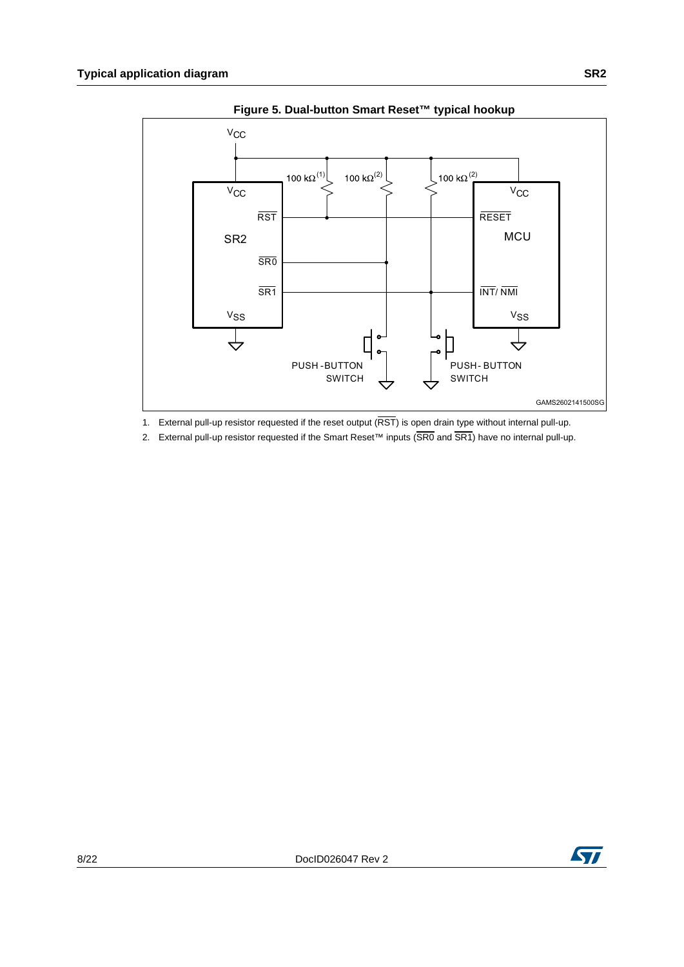

**Figure 5. Dual-button Smart Reset™ typical hookup**

1. External pull-up resistor requested if the reset output  $(RST)$  is open drain type without internal pull-up.

2. External pull-up resistor requested if the Smart Reset™ inputs (SR0 and SR1) have no internal pull-up.

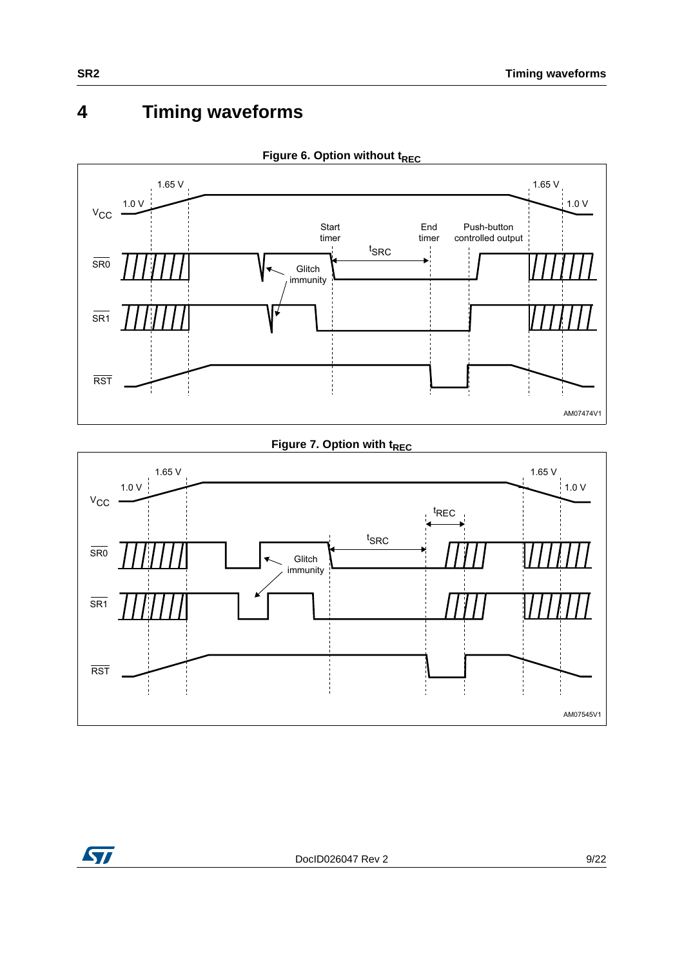# <span id="page-8-0"></span>**4 Timing waveforms**



**Figure 6. Option without tREC** 

**Figure 7. Option with t<sub>REC</sub>** 



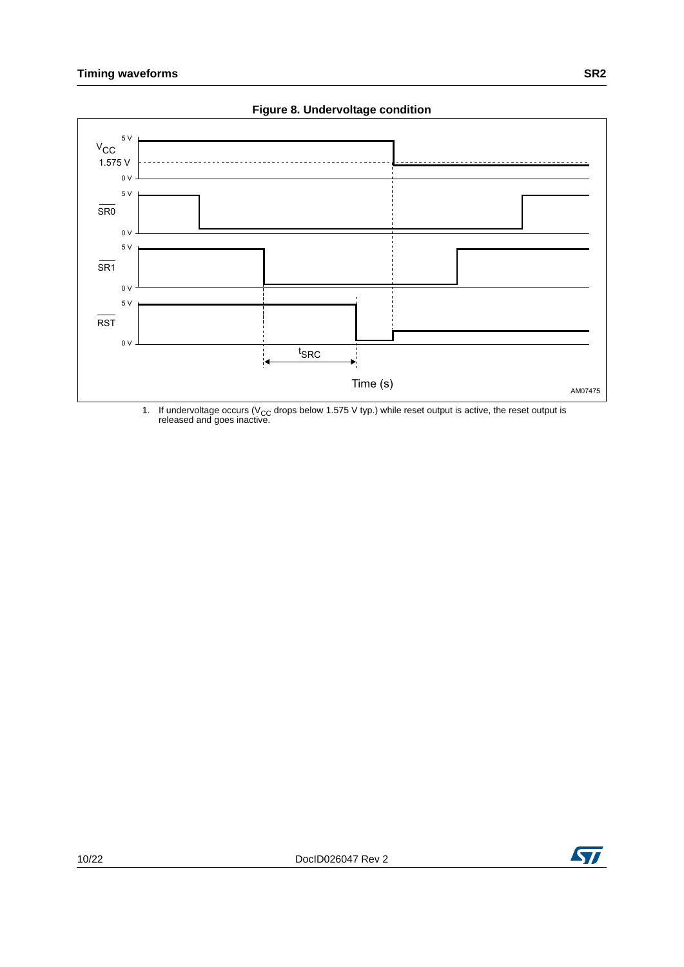<span id="page-9-0"></span>

**Figure 8. Undervoltage condition**

1. If undervoltage occurs (V<sub>CC</sub> drops below 1.575 V typ.) while reset output is active, the reset output is released and goes inactive.

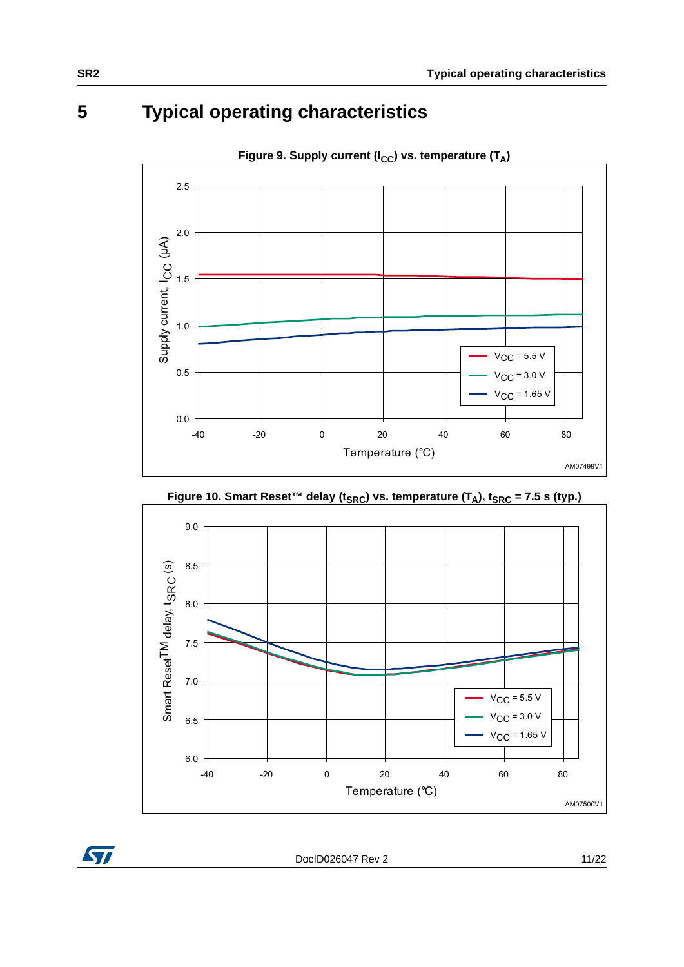## <span id="page-10-0"></span>**5 Typical operating characteristics**









DocID026047 Rev 2 11/22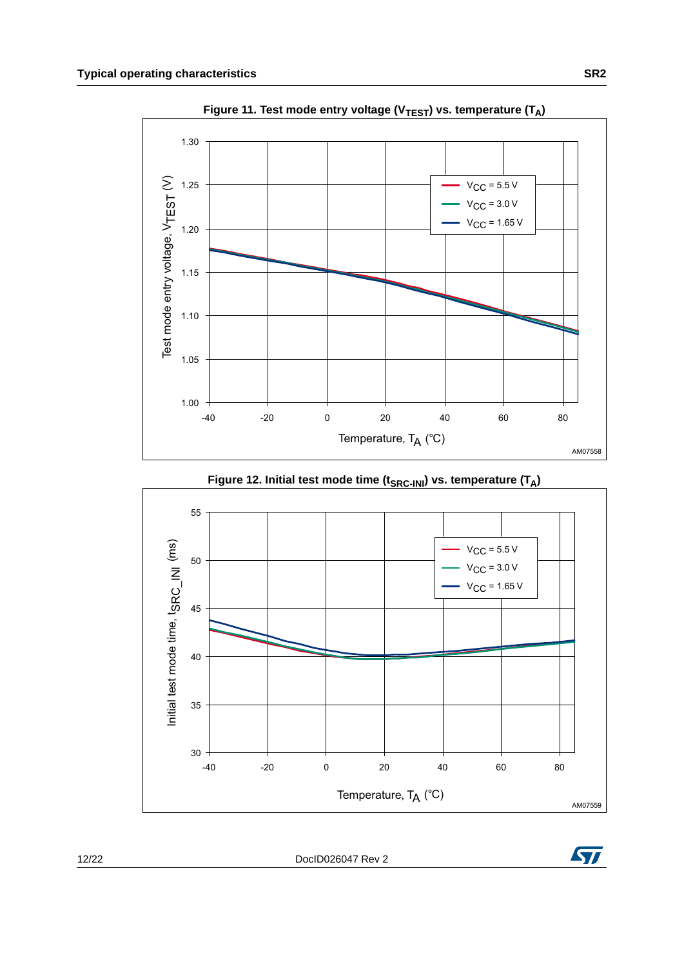

Figure 11. Test mode entry voltage (V<sub>TEST</sub>) vs. temperature (T<sub>A</sub>)



Figure 12. Initial test mode time (t<sub>SRC-INI</sub>) vs. temperature (T<sub>A</sub>)

12/22 DocID026047 Rev 2

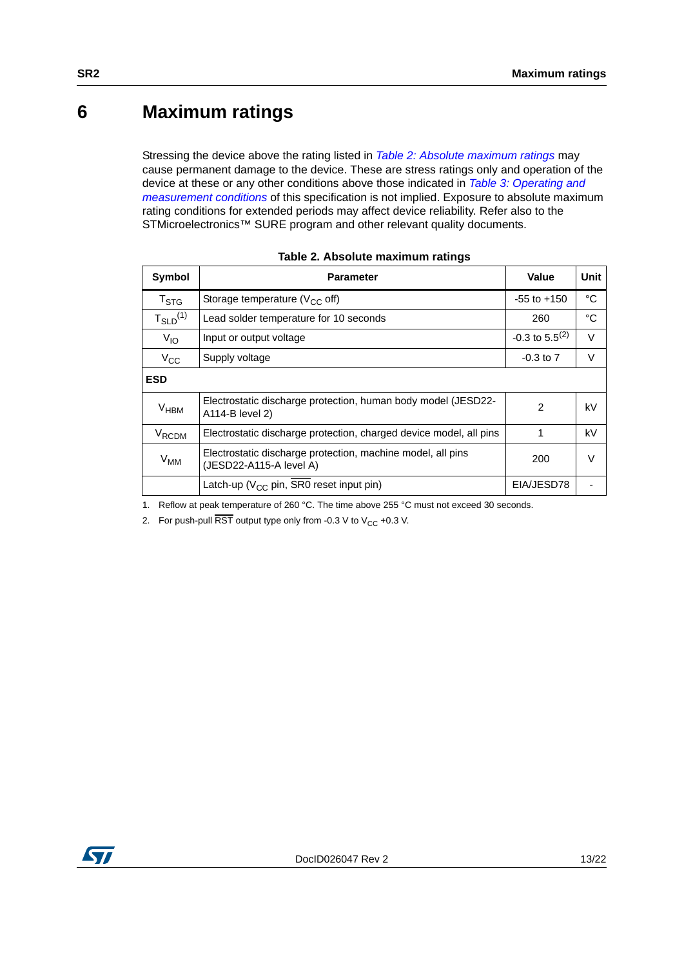## <span id="page-12-0"></span>**6 Maximum ratings**

Stressing the device above the rating listed in *[Table 2: Absolute maximum ratings](#page-12-1)* may cause permanent damage to the device. These are stress ratings only and operation of the device at these or any other conditions above those indicated in *[Table 3: Operating and](#page-13-1)  [measurement conditions](#page-13-1)* of this specification is not implied. Exposure to absolute maximum rating conditions for extended periods may affect device reliability. Refer also to the STMicroelectronics™ SURE program and other relevant quality documents.

<span id="page-12-1"></span>

| Symbol            | <b>Parameter</b>                                                                       | Value                        | <b>Unit</b> |
|-------------------|----------------------------------------------------------------------------------------|------------------------------|-------------|
| $T_{\text{STG}}$  | Storage temperature ( $V_{CC}$ off)                                                    | $-55$ to $+150$              | $^{\circ}C$ |
| $T_{SLD}^{(1)}$   | Lead solder temperature for 10 seconds                                                 | 260                          | °C          |
| $V_{IO}$          | Input or output voltage                                                                | $-0.3$ to 5.5 <sup>(2)</sup> | $\vee$      |
| $V_{\rm CC}$      | Supply voltage                                                                         | $-0.3$ to $7$                | v           |
| <b>ESD</b>        |                                                                                        |                              |             |
| $V_{HBM}$         | Electrostatic discharge protection, human body model (JESD22-<br>A114-B level 2)       | 2                            | kV          |
| V <sub>RCDM</sub> | Electrostatic discharge protection, charged device model, all pins                     | 1                            | kV          |
| $V_{MM}$          | Electrostatic discharge protection, machine model, all pins<br>(JESD22-A115-A level A) | 200                          | $\vee$      |
|                   | Latch-up (V <sub>CC</sub> pin, SR0 reset input pin)                                    | EIA/JESD78                   |             |

|  |  | Table 2. Absolute maximum ratings |  |
|--|--|-----------------------------------|--|
|--|--|-----------------------------------|--|

1. Reflow at peak temperature of 260 °C. The time above 255 °C must not exceed 30 seconds.

2. For push-pull  $\overline{\text{RST}}$  output type only from -0.3 V to V<sub>CC</sub> +0.3 V.

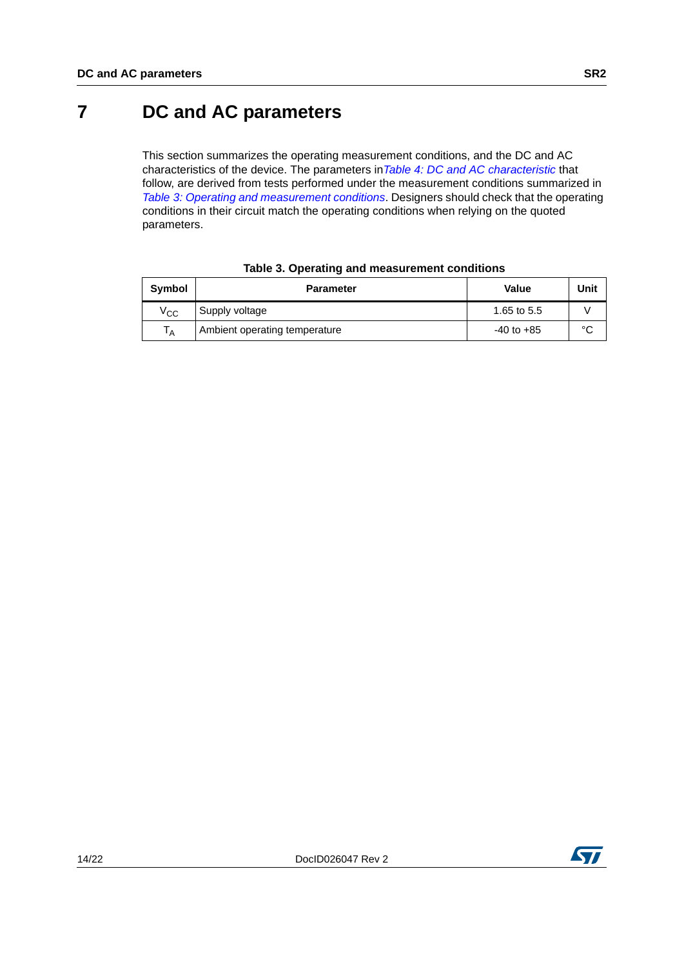## <span id="page-13-0"></span>**7 DC and AC parameters**

This section summarizes the operating measurement conditions, and the DC and AC characteristics of the device. The parameters in*[Table 4: DC and AC characteristic](#page-14-0)* that follow, are derived from tests performed under the measurement conditions summarized in *[Table 3: Operating and measurement conditions](#page-13-1)*. Designers should check that the operating conditions in their circuit match the operating conditions when relying on the quoted parameters.

<span id="page-13-1"></span>

| Symbol         | <b>Parameter</b>              | Value          | Unit   |
|----------------|-------------------------------|----------------|--------|
| $\rm v_{cc}$   | Supply voltage                | 1.65 to 5.5    |        |
| T <sub>A</sub> | Ambient operating temperature | $-40$ to $+85$ | $\sim$ |

#### **Table 3. Operating and measurement conditions**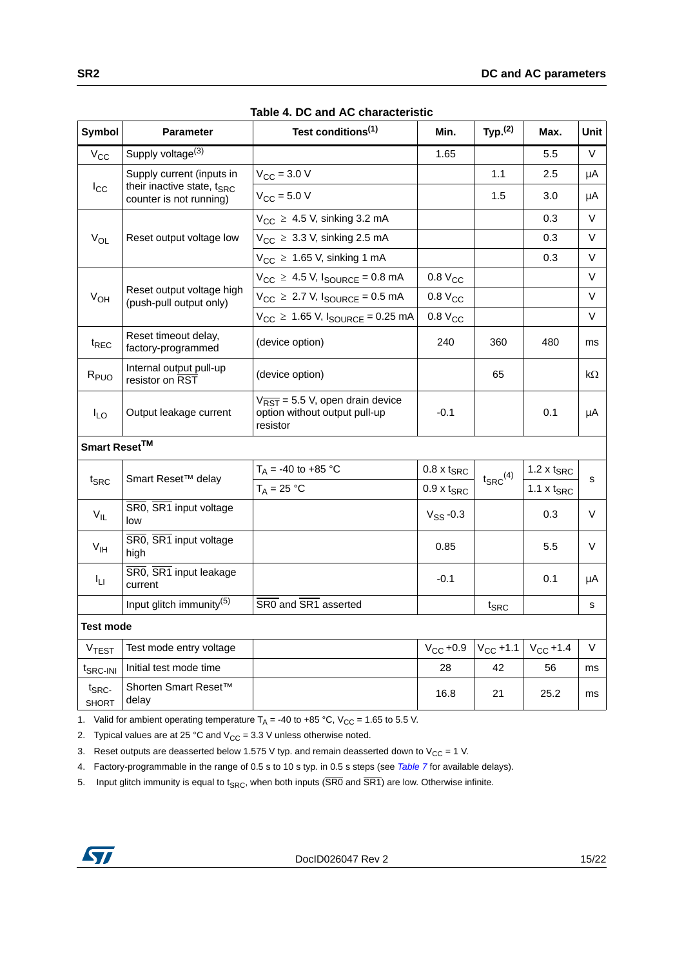<span id="page-14-0"></span>

| <b>Symbol</b>                    | <b>Parameter</b>                                           | Test conditions <sup>(1)</sup>                                                                      | Min.                     | Typ. <sup>(2)</sup>    | Max.                          | Unit |
|----------------------------------|------------------------------------------------------------|-----------------------------------------------------------------------------------------------------|--------------------------|------------------------|-------------------------------|------|
| $V_{CC}$                         | Supply voltage <sup>(3)</sup>                              |                                                                                                     | 1.65                     |                        | 5.5                           | V    |
|                                  | Supply current (inputs in                                  | $V_{\text{CC}} = 3.0 V$                                                                             |                          | 1.1                    | 2.5                           | μA   |
| $I_{\rm CC}$                     | their inactive state, $t_{SRC}$<br>counter is not running) | $V_{CC}$ = 5.0 V                                                                                    |                          | 1.5                    | 3.0                           | μA   |
|                                  |                                                            | $V_{CC}$ $\geq$ 4.5 V, sinking 3.2 mA                                                               |                          |                        | 0.3                           | V    |
| $V_{OL}$                         | Reset output voltage low                                   | $V_{CC}$ $\geq$ 3.3 V, sinking 2.5 mA                                                               |                          |                        | 0.3                           | V    |
|                                  |                                                            | $V_{CC} \geq 1.65$ V, sinking 1 mA                                                                  |                          |                        | 0.3                           | V    |
|                                  |                                                            | $V_{CC}$ $\geq$ 4.5 V, $I_{SOLRCE}$ = 0.8 mA                                                        | 0.8 V <sub>CC</sub>      |                        |                               | V    |
| $V_{OH}$                         | Reset output voltage high<br>(push-pull output only)       | $V_{CC} \ge 2.7$ V, $I_{SOLRCE} = 0.5$ mA                                                           | 0.8 V <sub>CC</sub>      |                        |                               | V    |
|                                  |                                                            | $V_{CC} \ge 1.65$ V, $I_{SOURCE} = 0.25$ mA                                                         | 0.8 V <sub>CC</sub>      |                        |                               | V    |
| <sup>t</sup> REC                 | Reset timeout delay,<br>factory-programmed                 | (device option)                                                                                     | 240                      | 360                    | 480                           | ms   |
| R <sub>PUO</sub>                 | Internal output pull-up<br>resistor on RST                 | (device option)                                                                                     |                          | 65                     |                               | kΩ   |
| $I_{LO}$                         | Output leakage current                                     | $V_{\overline{\text{RST}}}$ = 5.5 V, open drain device<br>option without output pull-up<br>resistor | $-0.1$                   |                        | 0.1                           | μA   |
| Smart Reset <sup>TM</sup>        |                                                            |                                                                                                     |                          |                        |                               |      |
|                                  |                                                            | $T_A = -40$ to $+85$ °C                                                                             | $0.8 \times t_{SRC}$     |                        | $1.2 \times t_{SRC}$          |      |
| $t_{\text{SRC}}$                 | Smart Reset™ delay                                         | $T_A = 25 °C$                                                                                       | $0.9 \times t_{SRC}$     | $t_{\text{SRC}}^{(4)}$ | 1.1 $\times$ t <sub>SRC</sub> | s    |
| $V_{IL}$                         | SR0, SR1 input voltage<br>low                              |                                                                                                     | $V$ <sub>SS</sub> $-0.3$ |                        | 0.3                           | V    |
| V <sub>IH</sub>                  | SR0, SR1 input voltage<br>high                             |                                                                                                     | 0.85                     |                        | 5.5                           | V    |
| Īц                               | SR0, SR1 input leakage<br>current                          |                                                                                                     | $-0.1$                   |                        | 0.1                           | μA   |
|                                  | Input glitch immunity <sup>(5)</sup>                       | SR0 and SR1 asserted                                                                                |                          | t <sub>SRC</sub>       |                               | s    |
| <b>Test mode</b>                 |                                                            |                                                                                                     |                          |                        |                               |      |
| <b>VTEST</b>                     | Test mode entry voltage                                    |                                                                                                     | $V_{CC}$ +0.9            | $V_{\rm CC}$ +1.1      | $V_{CC} + 1.4$                | V    |
| t <sub>SRC-INI</sub>             | Initial test mode time                                     |                                                                                                     | 28                       | 42                     | 56                            | ms   |
| $t_{\text{SRC}}$<br><b>SHORT</b> | Shorten Smart Reset™<br>delay                              |                                                                                                     | 16.8                     | 21                     | 25.2                          | ms   |

| Table 4. DC and AC characteristic |
|-----------------------------------|
|-----------------------------------|

1. Valid for ambient operating temperature  $T_A = -40$  to  $+85$  °C,  $V_{CC} = 1.65$  to 5.5 V.

2. Typical values are at 25 °C and  $V_{CC}$  = 3.3 V unless otherwise noted.

3. Reset outputs are deasserted below 1.575 V typ. and remain deasserted down to V<sub>CC</sub> = 1 V.

4. Factory-programmable in the range of 0.5 s to 10 s typ. in 0.5 s steps (see *[Table 7](#page-19-1)* for available delays).

5. Input glitch immunity is equal to t<sub>SRC</sub>, when both inputs ( $\overline{\text{SR0}}$  and  $\overline{\text{SR1}}$ ) are low. Otherwise infinite.

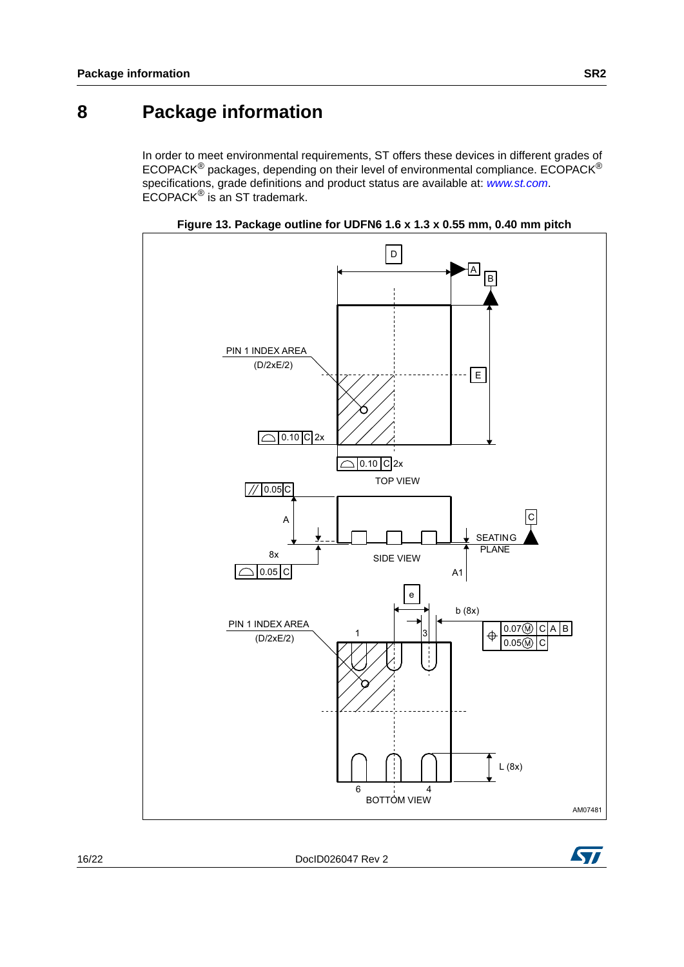## <span id="page-15-0"></span>**8 Package information**

In order to meet environmental requirements, ST offers these devices in different grades of ECOPACK® packages, depending on their level of environmental compliance. ECOPACK® specifications, grade definitions and product status are available at: *[www.st.com](http://www.st.com)*. ECOPACK® is an ST trademark.





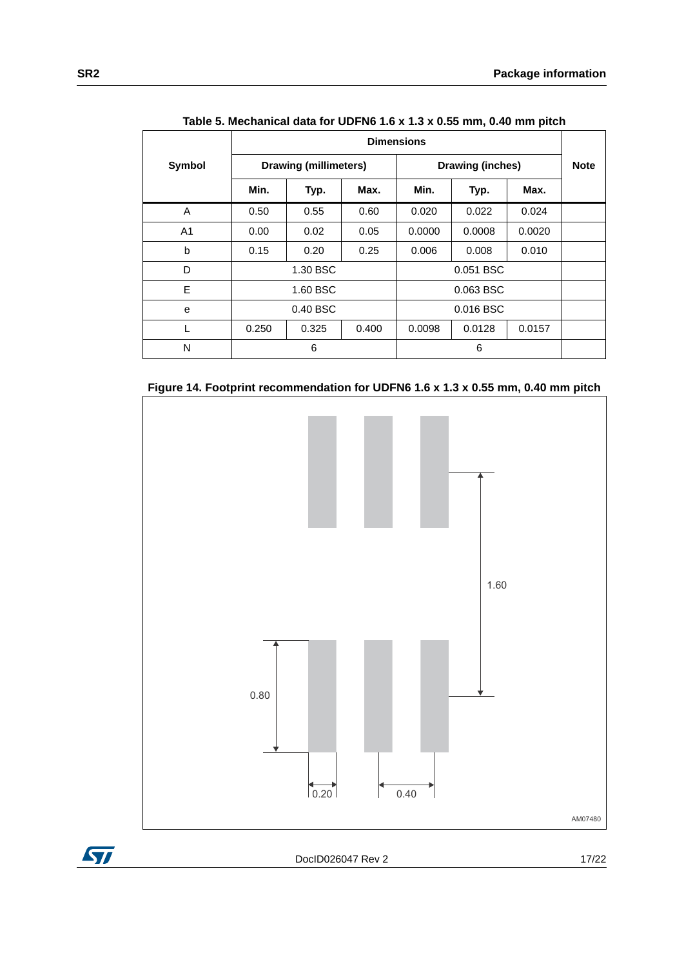|               | <b>Dimensions</b> |                                                  |       |           |           |             |  |
|---------------|-------------------|--------------------------------------------------|-------|-----------|-----------|-------------|--|
| <b>Symbol</b> |                   | <b>Drawing (millimeters)</b><br>Drawing (inches) |       |           |           | <b>Note</b> |  |
|               | Min.              | Typ.                                             | Max.  | Min.      | Typ.      | Max.        |  |
| A             | 0.50              | 0.55                                             | 0.60  | 0.020     | 0.022     | 0.024       |  |
| A1            | 0.00              | 0.02                                             | 0.05  | 0.0000    | 0.0008    | 0.0020      |  |
| b             | 0.15              | 0.20                                             | 0.25  | 0.006     | 0.008     | 0.010       |  |
| D             | 1.30 BSC          |                                                  |       | 0.051 BSC |           |             |  |
| E             | 1.60 BSC          |                                                  |       |           | 0.063 BSC |             |  |
| e             | 0.40 BSC          |                                                  |       |           | 0.016 BSC |             |  |
|               | 0.250             | 0.325                                            | 0.400 | 0.0098    | 0.0128    | 0.0157      |  |
| N             | 6                 |                                                  |       |           | 6         |             |  |

**Table 5. Mechanical data for UDFN6 1.6 x 1.3 x 0.55 mm, 0.40 mm pitch** 





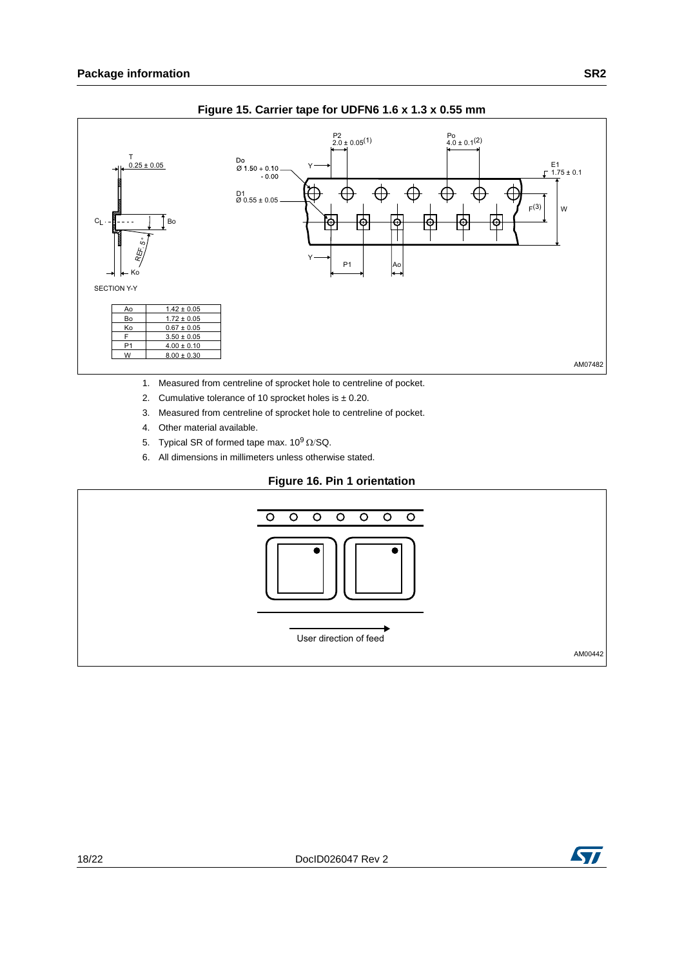



- 1. Measured from centreline of sprocket hole to centreline of pocket.
- 2. Cumulative tolerance of 10 sprocket holes is  $\pm$  0.20.
- 3. Measured from centreline of sprocket hole to centreline of pocket.
- 4. Other material available.
- 5. Typical SR of formed tape max.  $10^9 \Omega/\text{SQ}$ .
- 6. All dimensions in millimeters unless otherwise stated.

#### **Figure 16. Pin 1 orientation**



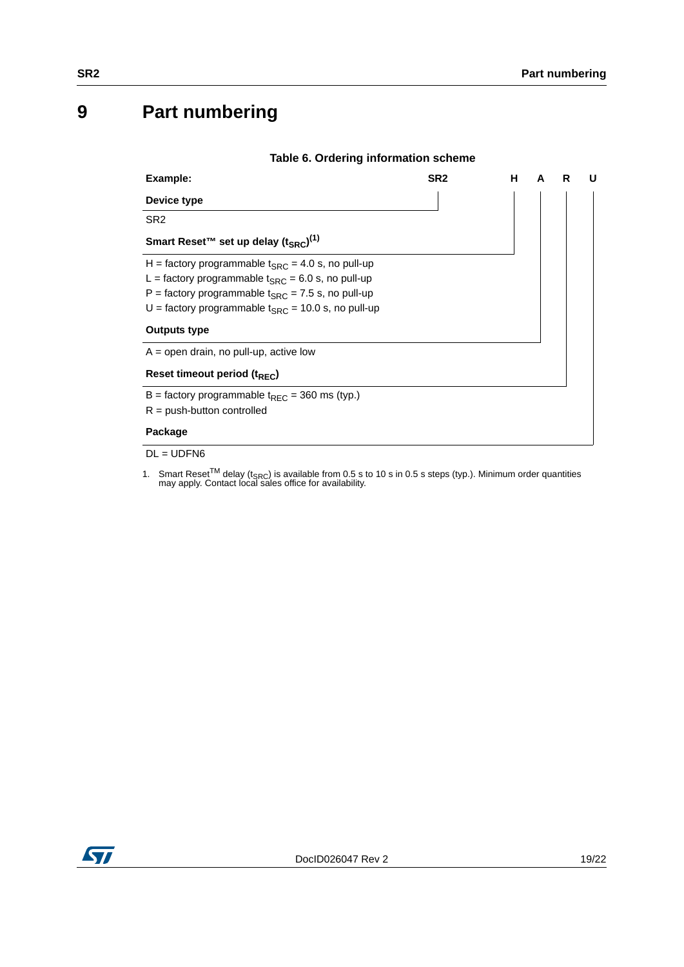# <span id="page-18-0"></span>**9 Part numbering**

<span id="page-18-1"></span>

| Table 6. Ordering information scheme                         |                 |    |   |   |   |
|--------------------------------------------------------------|-----------------|----|---|---|---|
| Example:                                                     | SR <sub>2</sub> | н. | A | R | U |
| Device type                                                  |                 |    |   |   |   |
| SR <sub>2</sub>                                              |                 |    |   |   |   |
| Smart Reset™ set up delay (t <sub>SRC</sub> ) <sup>(1)</sup> |                 |    |   |   |   |
| H = factory programmable $t_{SRC}$ = 4.0 s, no pull-up       |                 |    |   |   |   |
| L = factory programmable $t_{SRC}$ = 6.0 s, no pull-up       |                 |    |   |   |   |
| P = factory programmable $t_{SRC}$ = 7.5 s, no pull-up       |                 |    |   |   |   |
| U = factory programmable $t_{SRC}$ = 10.0 s, no pull-up      |                 |    |   |   |   |
| <b>Outputs type</b>                                          |                 |    |   |   |   |
| $A =$ open drain, no pull-up, active low                     |                 |    |   |   |   |
| Reset timeout period (t <sub>REC</sub> )                     |                 |    |   |   |   |
| B = factory programmable $t_{\text{REC}}$ = 360 ms (typ.)    |                 |    |   |   |   |
| $R = push$ -button controlled                                |                 |    |   |   |   |
| Package                                                      |                 |    |   |   |   |
| $DL = UDFN6$                                                 |                 |    |   |   |   |

1. Smart Reset<sup>TM</sup> delay ( $t_{\text{SRC}}$ ) is available from 0.5 s to 10 s in 0.5 s steps (typ.). Minimum order quantities may apply. Contact local sales office for availability.

| ________<br>۰. |  |
|----------------|--|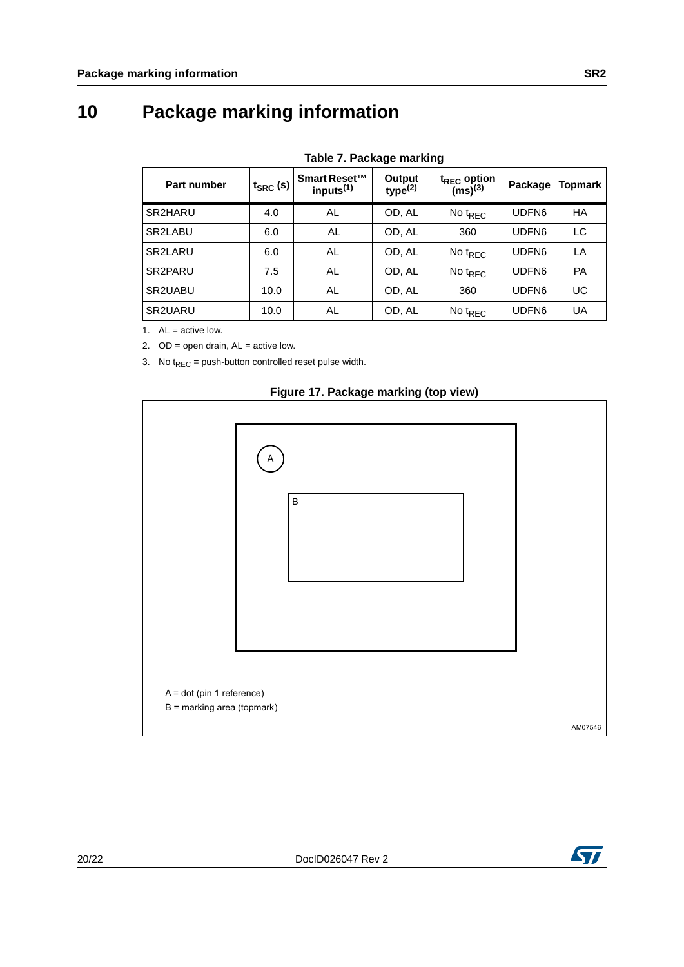# <span id="page-19-0"></span>**10 Package marking information**

<span id="page-19-1"></span>

| Table 7. Package marking |                                       |                               |                                         |                   |           |  |  |
|--------------------------|---------------------------------------|-------------------------------|-----------------------------------------|-------------------|-----------|--|--|
|                          | Smart Reset™<br>inputs <sup>(1)</sup> | Output<br>type <sup>(2)</sup> | $t_{REC}$ option<br>(ms) <sup>(3)</sup> | Package           | Topmark   |  |  |
| 4.0                      | AL                                    | OD, AL                        | No $t_{REC}$                            | UDFN <sub>6</sub> | HA        |  |  |
| 6.0                      | AL                                    | OD, AL                        | 360                                     | UDFN6             | LC        |  |  |
| 6.0                      | AL                                    | OD, AL                        | No $t_{REC}$                            | UDFN <sub>6</sub> | LA        |  |  |
| 7.5                      | AL                                    | OD, AL                        | No $t_{REC}$                            | UDFN <sub>6</sub> | <b>PA</b> |  |  |
| 10.0                     | AL                                    | OD, AL                        | 360                                     | UDFN6             | UC        |  |  |
| 10.0                     | AL                                    | OD, AL                        | No $t_{REC}$                            | UDFN <sub>6</sub> | UA        |  |  |
|                          |                                       | $t_{SRC}$ (s)                 |                                         |                   |           |  |  |

1.  $AL = active low$ .

2.  $OD = open drain, AL = active low.$ 

3. No  $t_{REC}$  = push-button controlled reset pulse width.



#### **Figure 17. Package marking (top view)**

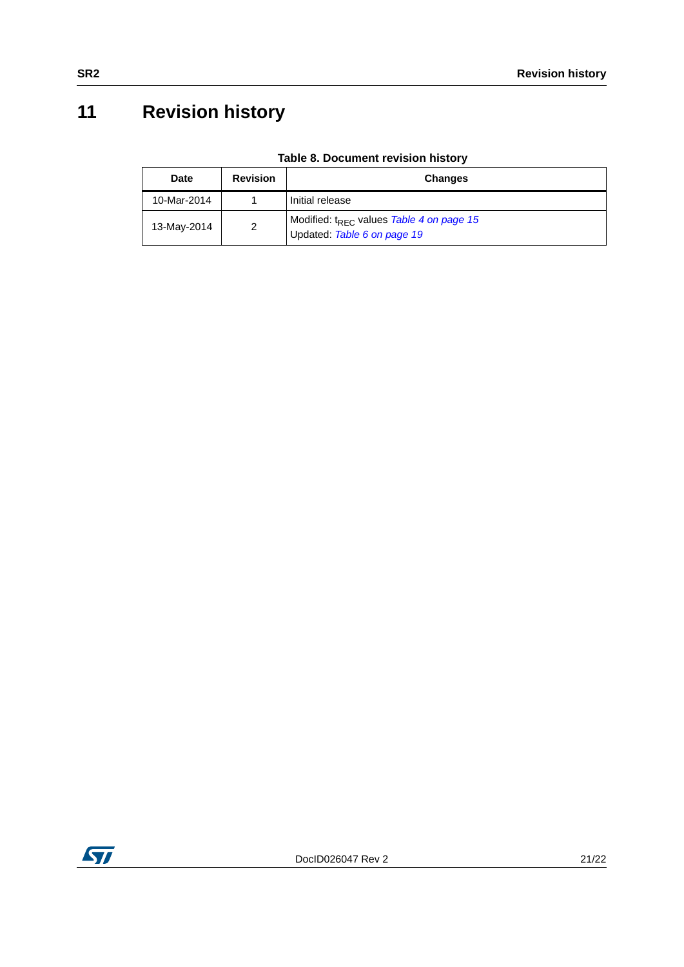# <span id="page-20-0"></span>**11 Revision history**

| Table 8. Document revision history |  |  |
|------------------------------------|--|--|
|------------------------------------|--|--|

| <b>Date</b> | <b>Revision</b> | <b>Changes</b>                                                                      |
|-------------|-----------------|-------------------------------------------------------------------------------------|
| 10-Mar-2014 |                 | Initial release                                                                     |
| 13-May-2014 | $\mathcal{D}$   | Modified: t <sub>REC</sub> values Table 4 on page 15<br>Updated: Table 6 on page 19 |